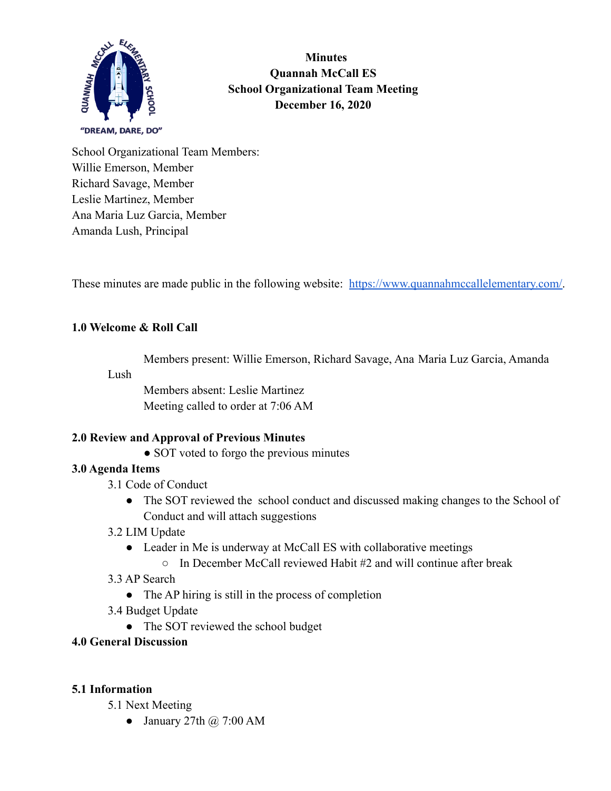

**Minutes Quannah McCall ES School Organizational Team Meeting December 16, 2020**

School Organizational Team Members: Willie Emerson, Member Richard Savage, Member Leslie Martinez, Member Ana Maria Luz Garcia, Member Amanda Lush, Principal

These minutes are made public in the following website: [https://www.quannahmccallelementary.com/.](https://www.quannahmccallelementary.com/)

#### **1.0 Welcome & Roll Call**

Members present: Willie Emerson, Richard Savage, Ana Maria Luz Garcia, Amanda

Lush

Members absent: Leslie Martinez Meeting called to order at 7:06 AM

## **2.0 Review and Approval of Previous Minutes**

• SOT voted to forgo the previous minutes

#### **3.0 Agenda Items**

- 3.1 Code of Conduct
	- The SOT reviewed the school conduct and discussed making changes to the School of Conduct and will attach suggestions
- 3.2 LIM Update
	- Leader in Me is underway at McCall ES with collaborative meetings
		- $\circ$  In December McCall reviewed Habit #2 and will continue after break
- 3.3 AP Search
	- The AP hiring is still in the process of completion
- 3.4 Budget Update
	- The SOT reviewed the school budget
- **4.0 General Discussion**

## **5.1 Information**

- 5.1 Next Meeting
	- January 27th  $\omega$  7:00 AM